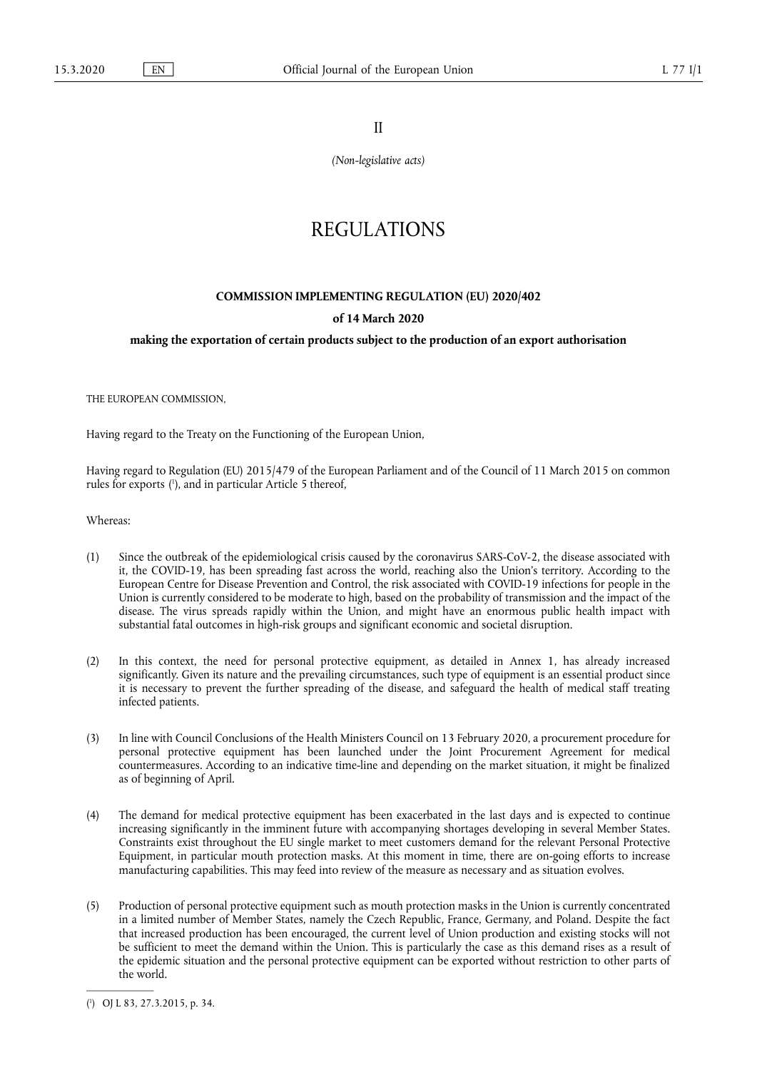II

*(Non-legislative acts)* 

# REGULATIONS

## **COMMISSION IMPLEMENTING REGULATION (EU) 2020/402**

#### **of 14 March 2020**

## **making the exportation of certain products subject to the production of an export authorisation**

THE EUROPEAN COMMISSION,

Having regard to the Treaty on the Functioning of the European Union,

<span id="page-0-1"></span>Having regard to Regulation (EU) 2015/479 of the European Parliament and of the Council of 11 March 2015 on common rules for exports ( 1 [\), and in particular Article 5 thereof,](#page-0-0) 

Whereas:

- (1) Since the outbreak of the epidemiological crisis caused by the coronavirus SARS-CoV-2, the disease associated with it, the COVID-19, has been spreading fast across the world, reaching also the Union's territory. According to the European Centre for Disease Prevention and Control, the risk associated with COVID-19 infections for people in the Union is currently considered to be moderate to high, based on the probability of transmission and the impact of the disease. The virus spreads rapidly within the Union, and might have an enormous public health impact with substantial fatal outcomes in high-risk groups and significant economic and societal disruption.
- (2) In this context, the need for personal protective equipment, as detailed in Annex 1, has already increased significantly. Given its nature and the prevailing circumstances, such type of equipment is an essential product since it is necessary to prevent the further spreading of the disease, and safeguard the health of medical staff treating infected patients.
- (3) In line with Council Conclusions of the Health Ministers Council on 13 February 2020, a procurement procedure for personal protective equipment has been launched under the Joint Procurement Agreement for medical countermeasures. According to an indicative time-line and depending on the market situation, it might be finalized as of beginning of April.
- (4) The demand for medical protective equipment has been exacerbated in the last days and is expected to continue increasing significantly in the imminent future with accompanying shortages developing in several Member States. Constraints exist throughout the EU single market to meet customers demand for the relevant Personal Protective Equipment, in particular mouth protection masks. At this moment in time, there are on-going efforts to increase manufacturing capabilities. This may feed into review of the measure as necessary and as situation evolves.
- (5) Production of personal protective equipment such as mouth protection masks in the Union is currently concentrated in a limited number of Member States, namely the Czech Republic, France, Germany, and Poland. Despite the fact that increased production has been encouraged, the current level of Union production and existing stocks will not be sufficient to meet the demand within the Union. This is particularly the case as this demand rises as a result of the epidemic situation and the personal protective equipment can be exported without restriction to other parts of the world.

<span id="page-0-0"></span>[<sup>\(</sup>](#page-0-1) 1 ) OJ L 83, 27.3.2015, p. 34.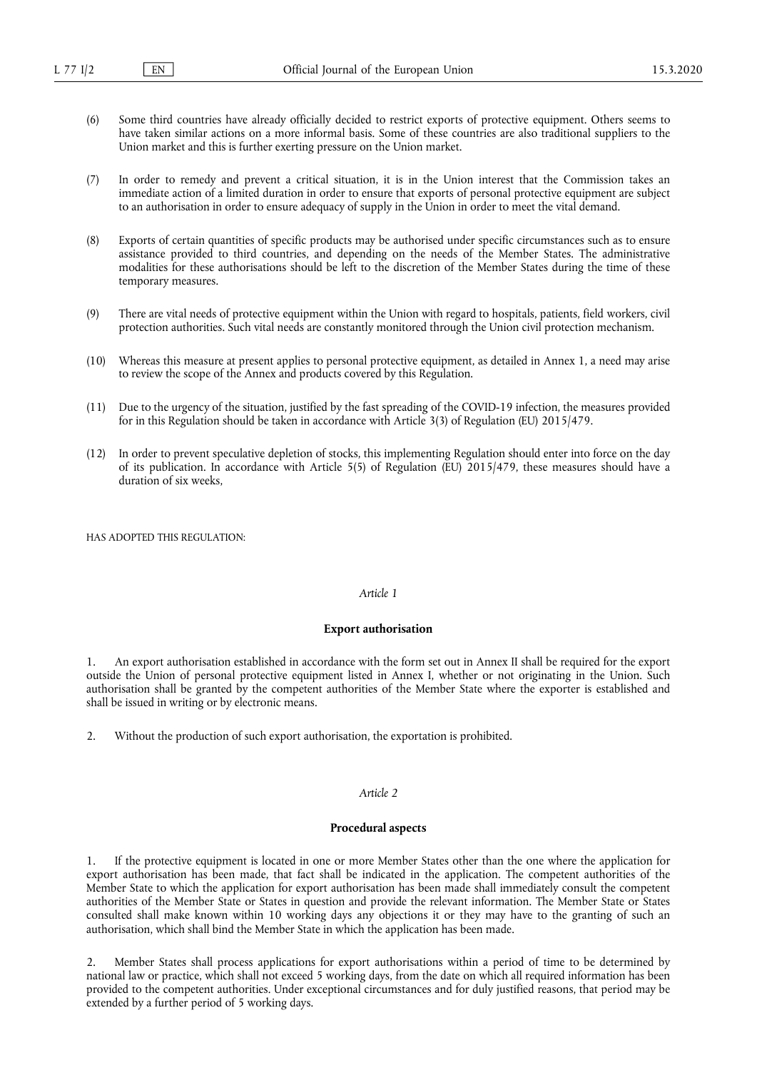- (6) Some third countries have already officially decided to restrict exports of protective equipment. Others seems to have taken similar actions on a more informal basis. Some of these countries are also traditional suppliers to the Union market and this is further exerting pressure on the Union market.
- (7) In order to remedy and prevent a critical situation, it is in the Union interest that the Commission takes an immediate action of a limited duration in order to ensure that exports of personal protective equipment are subject to an authorisation in order to ensure adequacy of supply in the Union in order to meet the vital demand.
- (8) Exports of certain quantities of specific products may be authorised under specific circumstances such as to ensure assistance provided to third countries, and depending on the needs of the Member States. The administrative modalities for these authorisations should be left to the discretion of the Member States during the time of these temporary measures.
- (9) There are vital needs of protective equipment within the Union with regard to hospitals, patients, field workers, civil protection authorities. Such vital needs are constantly monitored through the Union civil protection mechanism.
- (10) Whereas this measure at present applies to personal protective equipment, as detailed in Annex 1, a need may arise to review the scope of the Annex and products covered by this Regulation.
- (11) Due to the urgency of the situation, justified by the fast spreading of the COVID-19 infection, the measures provided for in this Regulation should be taken in accordance with Article 3(3) of Regulation (EU) 2015/479.
- (12) In order to prevent speculative depletion of stocks, this implementing Regulation should enter into force on the day of its publication. In accordance with Article 5(5) of Regulation (EU) 2015/479, these measures should have a duration of six weeks,

HAS ADOPTED THIS REGULATION:

## *Article 1*

#### **Export authorisation**

1. An export authorisation established in accordance with the form set out in Annex II shall be required for the export outside the Union of personal protective equipment listed in Annex I, whether or not originating in the Union. Such authorisation shall be granted by the competent authorities of the Member State where the exporter is established and shall be issued in writing or by electronic means.

2. Without the production of such export authorisation, the exportation is prohibited.

#### *Article 2*

#### **Procedural aspects**

1. If the protective equipment is located in one or more Member States other than the one where the application for export authorisation has been made, that fact shall be indicated in the application. The competent authorities of the Member State to which the application for export authorisation has been made shall immediately consult the competent authorities of the Member State or States in question and provide the relevant information. The Member State or States consulted shall make known within 10 working days any objections it or they may have to the granting of such an authorisation, which shall bind the Member State in which the application has been made.

2. Member States shall process applications for export authorisations within a period of time to be determined by national law or practice, which shall not exceed 5 working days, from the date on which all required information has been provided to the competent authorities. Under exceptional circumstances and for duly justified reasons, that period may be extended by a further period of 5 working days.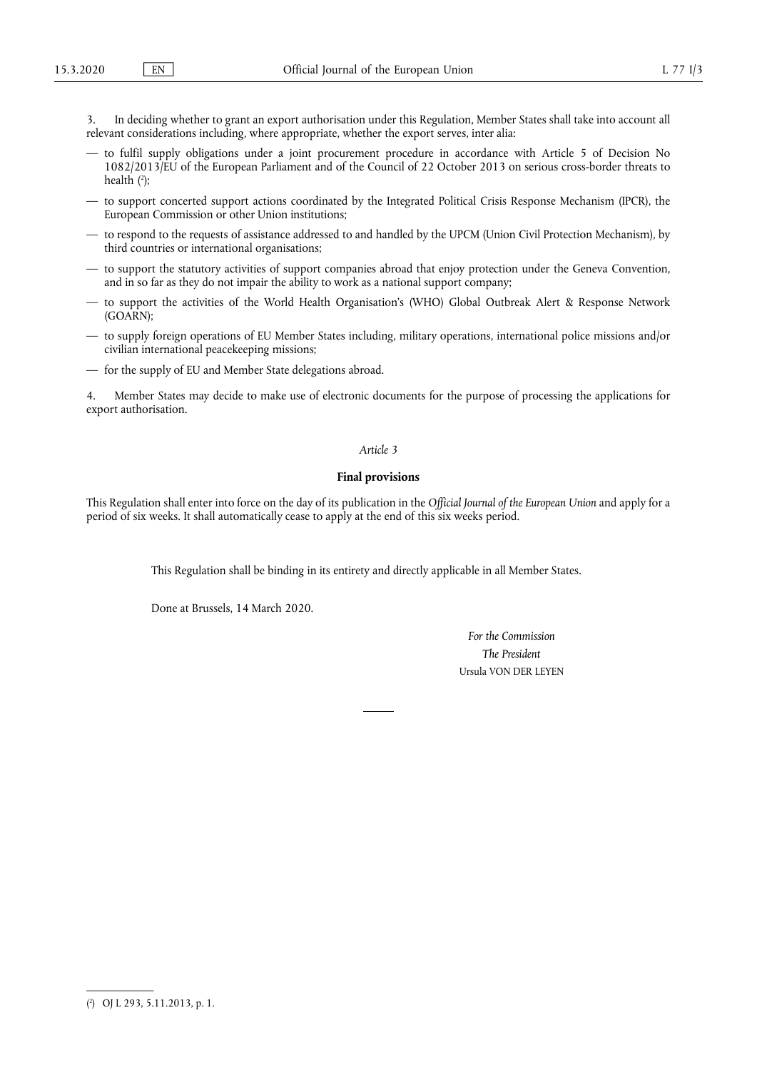3. In deciding whether to grant an export authorisation under this Regulation, Member States shall take into account all relevant considerations including, where appropriate, whether the export serves, inter alia:

- <span id="page-2-1"></span>— to fulfil supply obligations under a joint procurement procedure in accordance with Article 5 of Decision No 1082/2013/EU of the European Parliament and of the Council of 22 October 2013 on serious cross-border threats to health ( 2 [\);](#page-2-0)
- to support concerted support actions coordinated by the Integrated Political Crisis Response Mechanism (IPCR), the European Commission or other Union institutions;
- to respond to the requests of assistance addressed to and handled by the UPCM (Union Civil Protection Mechanism), by third countries or international organisations;
- to support the statutory activities of support companies abroad that enjoy protection under the Geneva Convention, and in so far as they do not impair the ability to work as a national support company;
- to support the activities of the World Health Organisation's (WHO) Global Outbreak Alert & Response Network (GOARN);
- to supply foreign operations of EU Member States including, military operations, international police missions and/or civilian international peacekeeping missions;
- for the supply of EU and Member State delegations abroad.

4. Member States may decide to make use of electronic documents for the purpose of processing the applications for export authorisation.

### *Article 3*

#### **Final provisions**

This Regulation shall enter into force on the day of its publication in the *Official Journal of the European Union* and apply for a period of six weeks. It shall automatically cease to apply at the end of this six weeks period.

This Regulation shall be binding in its entirety and directly applicable in all Member States.

Done at Brussels, 14 March 2020.

*For the Commission The President*  Ursula VON DER LEYEN

<span id="page-2-0"></span>[<sup>\(</sup>](#page-2-1) 2 ) OJ L 293, 5.11.2013, p. 1.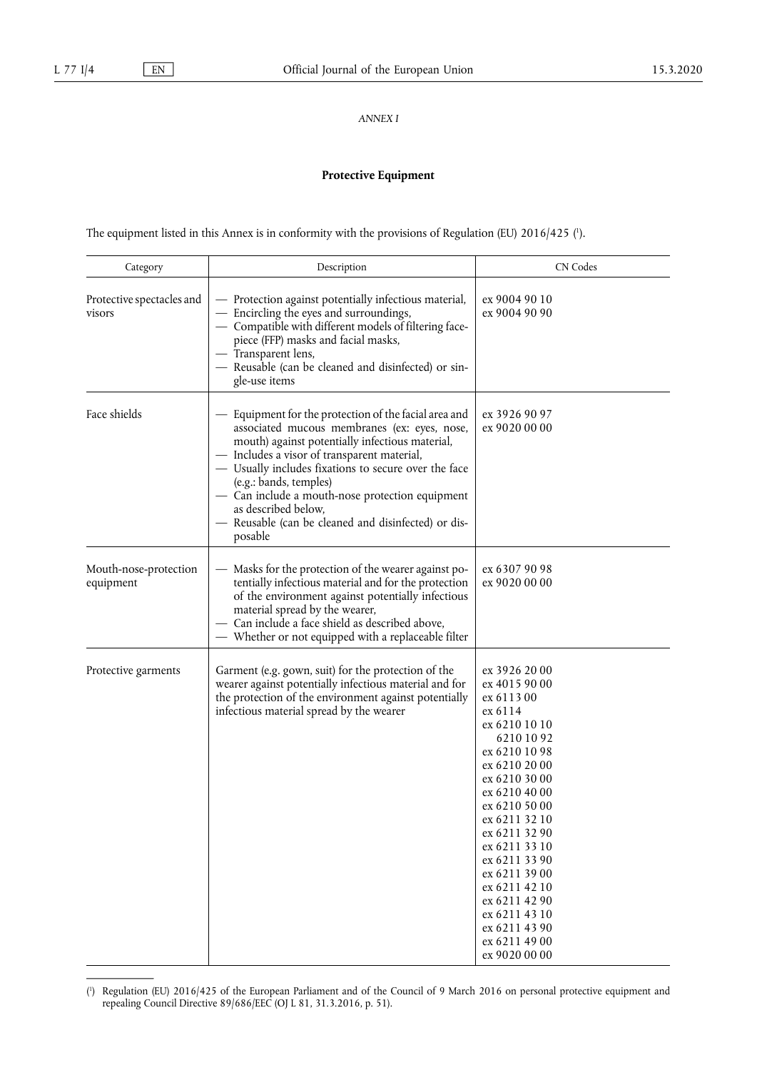*ANNEX I* 

# **Protective Equipment**

<span id="page-3-1"></span>The equipment listed in this Annex is in conformity with the provisions of Regulation (EU)  $2016/425$  ( $\cdot$ ).

| Category                            | Description                                                                                                                                                                                                                                                                                                                                                                                                                           | <b>CN Codes</b>                                                                                                                                                                                                                                                                                                                                                      |  |
|-------------------------------------|---------------------------------------------------------------------------------------------------------------------------------------------------------------------------------------------------------------------------------------------------------------------------------------------------------------------------------------------------------------------------------------------------------------------------------------|----------------------------------------------------------------------------------------------------------------------------------------------------------------------------------------------------------------------------------------------------------------------------------------------------------------------------------------------------------------------|--|
| Protective spectacles and<br>visors | - Protection against potentially infectious material,<br>ex 9004 90 10<br>- Encircling the eyes and surroundings,<br>ex 9004 90 90<br>- Compatible with different models of filtering face-<br>piece (FFP) masks and facial masks,<br>- Transparent lens,<br>- Reusable (can be cleaned and disinfected) or sin-<br>gle-use items                                                                                                     |                                                                                                                                                                                                                                                                                                                                                                      |  |
| Face shields                        | - Equipment for the protection of the facial area and<br>associated mucous membranes (ex: eyes, nose,<br>mouth) against potentially infectious material,<br>- Includes a visor of transparent material,<br>- Usually includes fixations to secure over the face<br>(e.g.: bands, temples)<br>- Can include a mouth-nose protection equipment<br>as described below,<br>- Reusable (can be cleaned and disinfected) or dis-<br>posable | ex 3926 90 97<br>ex 9020 00 00                                                                                                                                                                                                                                                                                                                                       |  |
| Mouth-nose-protection<br>equipment  | - Masks for the protection of the wearer against po-<br>tentially infectious material and for the protection<br>of the environment against potentially infectious<br>material spread by the wearer,<br>- Can include a face shield as described above,<br>— Whether or not equipped with a replaceable filter                                                                                                                         | ex 6307 90 98<br>ex 9020 00 00                                                                                                                                                                                                                                                                                                                                       |  |
| Protective garments                 | Garment (e.g. gown, suit) for the protection of the<br>wearer against potentially infectious material and for<br>the protection of the environment against potentially<br>infectious material spread by the wearer                                                                                                                                                                                                                    | ex 3926 20 00<br>ex 4015 90 00<br>ex 6113 00<br>ex 6114<br>ex 6210 10 10<br>62101092<br>ex 6210 10 98<br>ex 6210 20 00<br>ex 6210 30 00<br>ex 6210 40 00<br>ex 6210 50 00<br>ex 6211 32 10<br>ex 6211 32 90<br>ex 6211 33 10<br>ex 6211 33 90<br>ex 6211 39 00<br>ex 6211 42 10<br>ex 6211 42 90<br>ex 6211 43 10<br>ex 6211 43 90<br>ex 6211 49 00<br>ex 9020 00 00 |  |

<span id="page-3-0"></span>[<sup>\(</sup>](#page-3-1) 1 ) Regulation (EU) 2016/425 of the European Parliament and of the Council of 9 March 2016 on personal protective equipment and repealing Council Directive 89/686/EEC (OJ L 81, 31.3.2016, p. 51).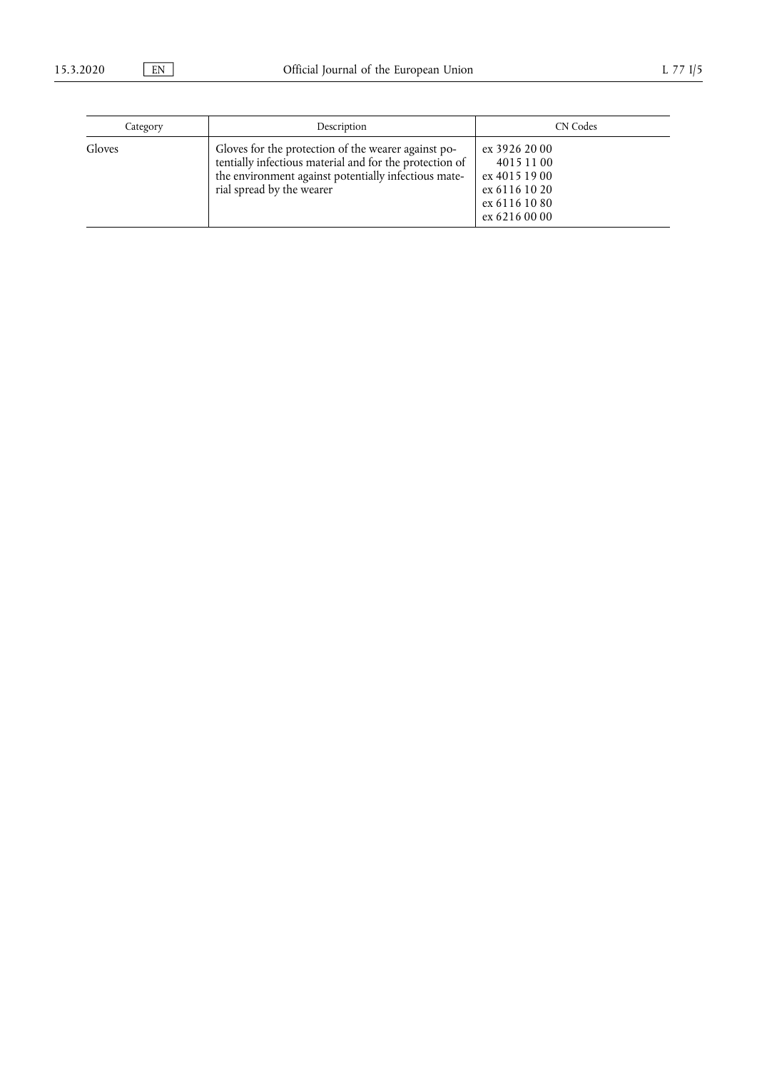| Category | Description                                                                                                                                                                                         | <b>CN</b> Codes                                                                                 |
|----------|-----------------------------------------------------------------------------------------------------------------------------------------------------------------------------------------------------|-------------------------------------------------------------------------------------------------|
| Gloves   | Gloves for the protection of the wearer against po-<br>tentially infectious material and for the protection of<br>the environment against potentially infectious mate-<br>rial spread by the wearer | ex 3926 20 00<br>4015 11 00<br>ex 4015 19 00<br>ex 6116 10 20<br>ex 6116 10 80<br>ex 6216 00 00 |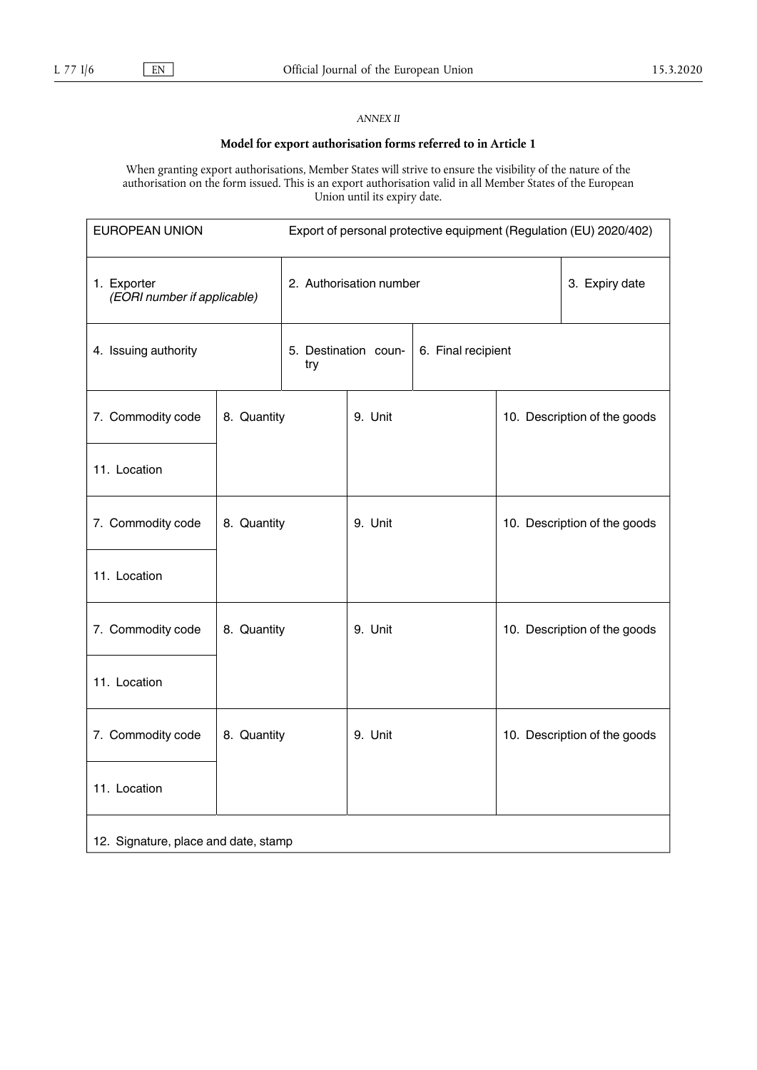## *ANNEX II*

# **Model for export authorisation forms referred to in Article 1**

When granting export authorisations, Member States will strive to ensure the visibility of the nature of the authorisation on the form issued. This is an export authorisation valid in all Member States of the European Union until its expiry date.

| <b>EUROPEAN UNION</b>                      |             | Export of personal protective equipment (Regulation (EU) 2020/402) |         |  |                              |                              |
|--------------------------------------------|-------------|--------------------------------------------------------------------|---------|--|------------------------------|------------------------------|
| 1. Exporter<br>(EORI number if applicable) |             | 2. Authorisation number                                            |         |  |                              | 3. Expiry date               |
| 4. Issuing authority                       |             | 5. Destination coun-<br>6. Final recipient<br>try                  |         |  |                              |                              |
| 8. Quantity<br>7. Commodity code           |             |                                                                    | 9. Unit |  | 10. Description of the goods |                              |
| 11. Location                               |             |                                                                    |         |  |                              |                              |
| 7. Commodity code                          | 8. Quantity |                                                                    | 9. Unit |  | 10. Description of the goods |                              |
| 11. Location                               |             |                                                                    |         |  |                              |                              |
| 7. Commodity code                          | 8. Quantity |                                                                    | 9. Unit |  |                              | 10. Description of the goods |
| 11. Location                               |             |                                                                    |         |  |                              |                              |
| 7. Commodity code                          | 8. Quantity |                                                                    | 9. Unit |  |                              | 10. Description of the goods |
| 11. Location                               |             |                                                                    |         |  |                              |                              |
| 12. Signature, place and date, stamp       |             |                                                                    |         |  |                              |                              |